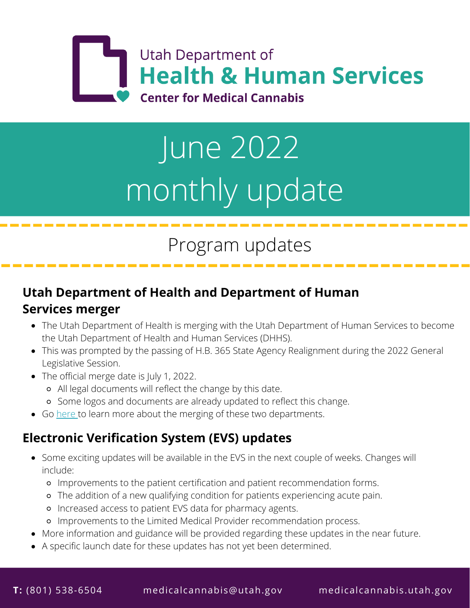

# June 2022 monthly update

# Program updates

### **Utah Department of Health and Department of Human Services merger**

- The Utah Department of Health is merging with the Utah Department of Human Services to become the Utah Department of Health and Human Services (DHHS).
- This was prompted by the passing of H.B. 365 State Agency Realignment during the 2022 General Legislative Session.
- The official merge date is July 1, 2022.
	- All legal documents will reflect the change by this date.
	- Some logos and documents are already updated to reflect this change.
- Go [here t](https://sites.google.com/utah.gov/hhsplan/home)o learn more about the merging of these two departments.

## **Electronic Verification System (EVS) updates**

- Some exciting updates will be available in the EVS in the next couple of weeks. Changes will include:
	- Improvements to the patient certification and patient recommendation forms.
	- The addition of a new qualifying condition for patients experiencing acute pain.
	- o Increased access to patient EVS data for pharmacy agents.
	- Improvements to the Limited Medical Provider recommendation process.
- More information and guidance will be provided regarding these updates in the near future.
- A specific launch date for these updates has not yet been determined.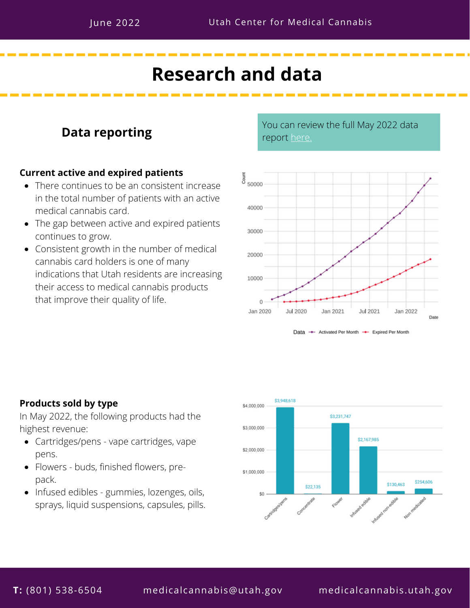## **Research and data**

#### **Data reporting**

#### **Current active and expired patients**

- There continues to be an consistent increase in the total number of patients with an active medical cannabis card.
- The gap between active and expired patients continues to grow.
- Consistent growth in the number of medical cannabis card holders is one of many indications that Utah residents are increasing their access to medical cannabis products that improve their quality of life.

You can review the full May 2022 data report [here.](https://medicalcannabis.utah.gov/resources/reporting/)







#### **Products sold by type**

In May 2022, the following products had the highest revenue:

- Cartridges/pens vape cartridges, vape pens.
- Flowers buds, finished flowers, prepack.
- Infused edibles gummies, lozenges, oils, sprays, liquid suspensions, capsules, pills.

**T:** (801) 538-6504 medicalcannabis@utah.gov medicalcannabis.utah.gov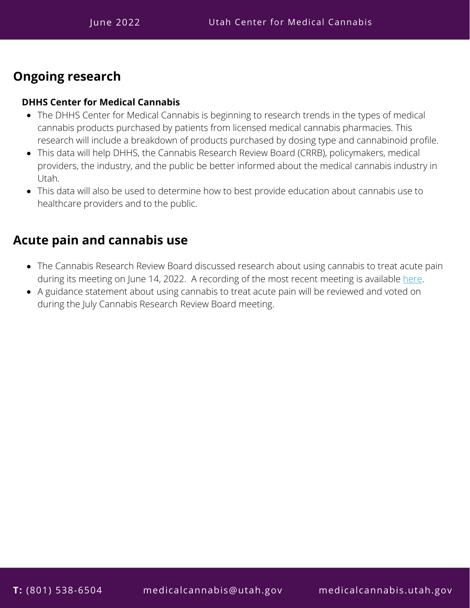#### **Ongoing research**

#### **DHHS Center for Medical Cannabis**

- The DHHS Center for Medical Cannabis is beginning to research trends in the types of medical cannabis products purchased by patients from licensed medical cannabis pharmacies. This research will include a breakdown of products purchased by dosing type and cannabinoid profile.
- This data will help DHHS, the Cannabis Research Review Board (CRRB), policymakers, medical providers, the industry, and the public be better informed about the medical cannabis industry in Utah.
- This data will also be used to determine how to best provide education about cannabis use to healthcare providers and to the public.

#### **Acute pain and cannabis use**

- The Cannabis Research Review Board discussed research about using cannabis to treat acute pain during its meeting on June 14, 2022. A recording of the most recent meeting is available [here](https://www.youtube.com/channel/UCJW8IN0h7wQ3ojY33gZC8cw).
- A guidance statement about using cannabis to treat acute pain will be reviewed and voted on during the July Cannabis Research Review Board meeting.